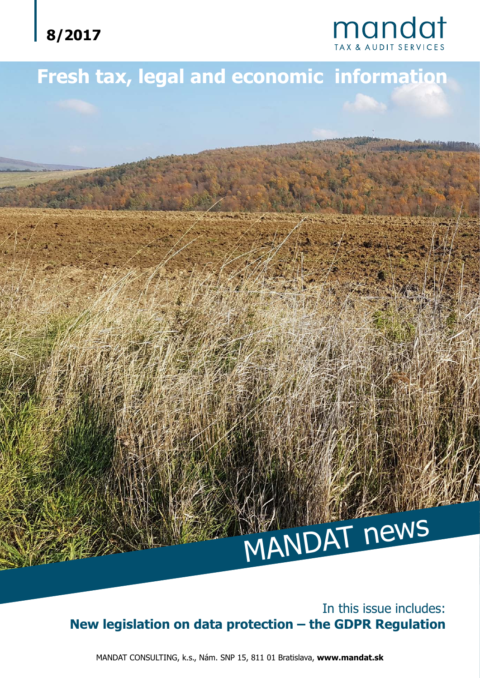

# **mandat**

# **Fresh tax, legal and economic information**



MANDAT news

MANDAT CONSULTING, k.s., Nám. SNP 15, 811 01 Bratislava, **www.mandat.sk**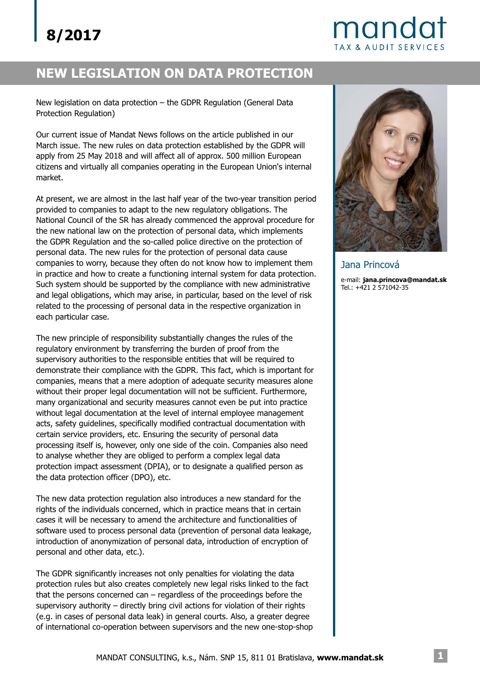## mandat **TAX & AUDIT SERVICES**

### **NEW LEGISLATION ON DATA PROTECTION**

New legislation on data protection – the GDPR Regulation (General Data Protection Regulation)

Our current issue of Mandat News follows on the article published in our March issue. The new rules on data protection established by the GDPR will apply from 25 May 2018 and will affect all of approx. 500 million European citizens and virtually all companies operating in the European Union's internal market.

At present, we are almost in the last half year of the two-year transition period provided to companies to adapt to the new regulatory obligations. The National Council of the SR has already commenced the approval procedure for the new national law on the protection of personal data, which implements the GDPR Regulation and the so-called police directive on the protection of personal data. The new rules for the protection of personal data cause companies to worry, because they often do not know how to implement them in practice and how to create a functioning internal system for data protection. Such system should be supported by the compliance with new administrative and legal obligations, which may arise, in particular, based on the level of risk related to the processing of personal data in the respective organization in each particular case.

The new principle of responsibility substantially changes the rules of the regulatory environment by transferring the burden of proof from the supervisory authorities to the responsible entities that will be required to demonstrate their compliance with the GDPR. This fact, which is important for companies, means that a mere adoption of adequate security measures alone without their proper legal documentation will not be sufficient. Furthermore, many organizational and security measures cannot even be put into practice without legal documentation at the level of internal employee management acts, safety guidelines, specifically modified contractual documentation with certain service providers, etc. Ensuring the security of personal data processing itself is, however, only one side of the coin. Companies also need to analyse whether they are obliged to perform a complex legal data protection impact assessment (DPIA), or to designate a qualified person as the data protection officer (DPO), etc.

The new data protection regulation also introduces a new standard for the rights of the individuals concerned, which in practice means that in certain cases it will be necessary to amend the architecture and functionalities of software used to process personal data (prevention of personal data leakage, introduction of anonymization of personal data, introduction of encryption of personal and other data, etc.).

The GDPR significantly increases not only penalties for violating the data protection rules but also creates completely new legal risks linked to the fact that the persons concerned can – regardless of the proceedings before the supervisory authority – directly bring civil actions for violation of their rights (e.g. in cases of personal data leak) in general courts. Also, a greater degree of international co-operation between supervisors and the new one-stop-shop



Jana Princová e-mail: **jana.princova@mandat.sk**Tel.: +421 2 571042-35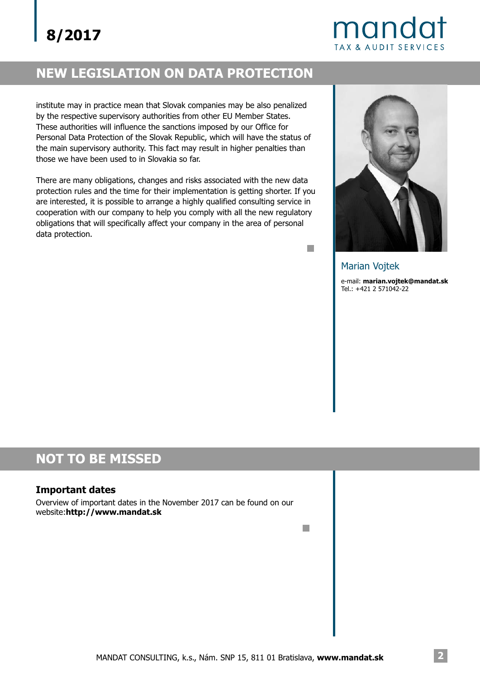## mandat **TAX & AUDIT SERVICES**

## **NEW LEGISLATION ON DATA PROTECTION**

institute may in practice mean that Slovak companies may be also penalized by the respective supervisory authorities from other EU Member States. These authorities will influence the sanctions imposed by our Office for Personal Data Protection of the Slovak Republic, which will have the status of the main supervisory authority. This fact may result in higher penalties than those we have been used to in Slovakia so far.

There are many obligations, changes and risks associated with the new data protection rules and the time for their implementation is getting shorter. If you are interested, it is possible to arrange a highly qualified consulting service in cooperation with our company to help you comply with all the new regulatory obligations that will specifically affect your company in the area of personal data protection.



e-mail: **marian.vojtek@mandat.sk** Tel.: +421 2 571042-22 Marian Vojtek

H

 $\mathbb{R}^n$ 

### **NOT TO BE MISSED**

#### **Important dates**

Overview of important dates in the November 2017 can be found on our website:**http://www.mandat.sk**